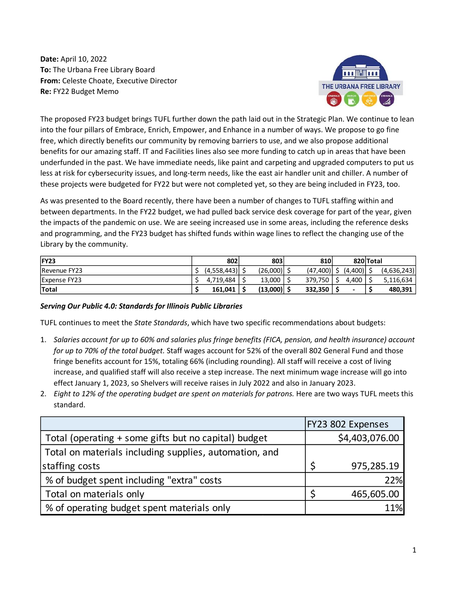**Date:** April 10, 2022 **To:** The Urbana Free Library Board **From:** Celeste Choate, Executive Director **Re:** FY22 Budget Memo



The proposed FY23 budget brings TUFL further down the path laid out in the Strategic Plan. We continue to lean into the four pillars of Embrace, Enrich, Empower, and Enhance in a number of ways. We propose to go fine free, which directly benefits our community by removing barriers to use, and we also propose additional benefits for our amazing staff. IT and Facilities lines also see more funding to catch up in areas that have been underfunded in the past. We have immediate needs, like paint and carpeting and upgraded computers to put us less at risk for cybersecurity issues, and long-term needs, like the east air handler unit and chiller. A number of these projects were budgeted for FY22 but were not completed yet, so they are being included in FY23, too.

As was presented to the Board recently, there have been a number of changes to TUFL staffing within and between departments. In the FY22 budget, we had pulled back service desk coverage for part of the year, given the impacts of the pandemic on use. We are seeing increased use in some areas, including the reference desks and programming, and the FY23 budget has shifted funds within wage lines to reflect the changing use of the Library by the community.

| IFY23               | 802         | 803          | 810                            | 820 Total |             |
|---------------------|-------------|--------------|--------------------------------|-----------|-------------|
| Revenue FY23        | (4,558,443) | (26,000)     | $(47,400)$   \$ $(4,400)$   \$ |           | (4,636,243) |
| <b>Expense FY23</b> | 4.719.484   | 13,000       | 379.750                        | 4.400 l   | 5,116,634   |
| <b>Total</b>        | 161.041     | $(13,000)$ . | 332,350                        | -         | 480,391     |

## *Serving Our Public 4.0: Standards for Illinois Public Libraries*

TUFL continues to meet the *State Standards*, which have two specific recommendations about budgets:

- 1. *Salaries account for up to 60% and salaries plus fringe benefits (FICA, pension, and health insurance) account for up to 70% of the total budget.* Staff wages account for 52% of the overall 802 General Fund and those fringe benefits account for 15%, totaling 66% (including rounding). All staff will receive a cost of living increase, and qualified staff will also receive a step increase. The next minimum wage increase will go into effect January 1, 2023, so Shelvers will receive raises in July 2022 and also in January 2023.
- 2. *Eight to 12% of the operating budget are spent on materials for patrons.* Here are two ways TUFL meets this standard.

|                                                        | FY23 802 Expenses |
|--------------------------------------------------------|-------------------|
| Total (operating + some gifts but no capital) budget   | \$4,403,076.00    |
| Total on materials including supplies, automation, and |                   |
| staffing costs                                         | 975,285.19        |
| % of budget spent including "extra" costs              | 22%               |
| Total on materials only                                | 465,605.00        |
| % of operating budget spent materials only             | 11%               |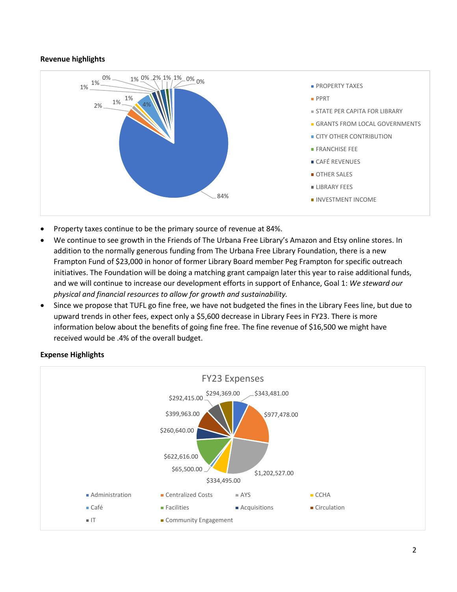### **Revenue highlights**



- Property taxes continue to be the primary source of revenue at 84%.
- We continue to see growth in the Friends of The Urbana Free Library's Amazon and Etsy online stores. In addition to the normally generous funding from The Urbana Free Library Foundation, there is a new Frampton Fund of \$23,000 in honor of former Library Board member Peg Frampton for specific outreach initiatives. The Foundation will be doing a matching grant campaign later this year to raise additional funds, and we will continue to increase our development efforts in support of Enhance, Goal 1: *We steward our physical and financial resources to allow for growth and sustainability.*
- Since we propose that TUFL go fine free, we have not budgeted the fines in the Library Fees line, but due to upward trends in other fees, expect only a \$5,600 decrease in Library Fees in FY23. There is more information below about the benefits of going fine free. The fine revenue of \$16,500 we might have received would be .4% of the overall budget.



### **Expense Highlights**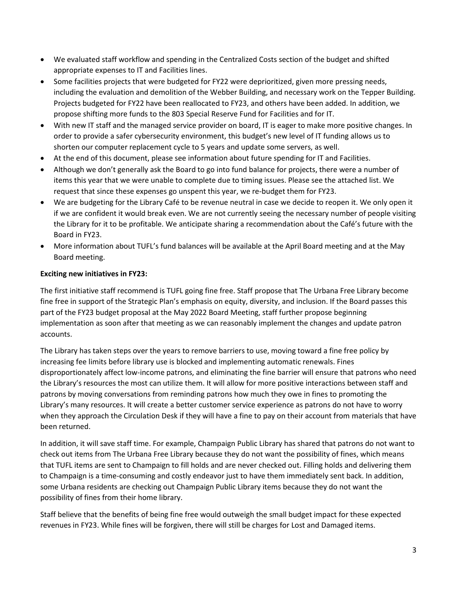- We evaluated staff workflow and spending in the Centralized Costs section of the budget and shifted appropriate expenses to IT and Facilities lines.
- Some facilities projects that were budgeted for FY22 were deprioritized, given more pressing needs, including the evaluation and demolition of the Webber Building, and necessary work on the Tepper Building. Projects budgeted for FY22 have been reallocated to FY23, and others have been added. In addition, we propose shifting more funds to the 803 Special Reserve Fund for Facilities and for IT.
- With new IT staff and the managed service provider on board, IT is eager to make more positive changes. In order to provide a safer cybersecurity environment, this budget's new level of IT funding allows us to shorten our computer replacement cycle to 5 years and update some servers, as well.
- At the end of this document, please see information about future spending for IT and Facilities.
- Although we don't generally ask the Board to go into fund balance for projects, there were a number of items this year that we were unable to complete due to timing issues. Please see the attached list. We request that since these expenses go unspent this year, we re-budget them for FY23.
- We are budgeting for the Library Café to be revenue neutral in case we decide to reopen it. We only open it if we are confident it would break even. We are not currently seeing the necessary number of people visiting the Library for it to be profitable. We anticipate sharing a recommendation about the Café's future with the Board in FY23.
- More information about TUFL's fund balances will be available at the April Board meeting and at the May Board meeting.

# **Exciting new initiatives in FY23:**

The first initiative staff recommend is TUFL going fine free. Staff propose that The Urbana Free Library become fine free in support of the Strategic Plan's emphasis on equity, diversity, and inclusion. If the Board passes this part of the FY23 budget proposal at the May 2022 Board Meeting, staff further propose beginning implementation as soon after that meeting as we can reasonably implement the changes and update patron accounts.

The Library has taken steps over the years to remove barriers to use, moving toward a fine free policy by increasing fee limits before library use is blocked and implementing automatic renewals. Fines disproportionately affect low-income patrons, and eliminating the fine barrier will ensure that patrons who need the Library's resources the most can utilize them. It will allow for more positive interactions between staff and patrons by moving conversations from reminding patrons how much they owe in fines to promoting the Library's many resources. It will create a better customer service experience as patrons do not have to worry when they approach the Circulation Desk if they will have a fine to pay on their account from materials that have been returned.

In addition, it will save staff time. For example, Champaign Public Library has shared that patrons do not want to check out items from The Urbana Free Library because they do not want the possibility of fines, which means that TUFL items are sent to Champaign to fill holds and are never checked out. Filling holds and delivering them to Champaign is a time-consuming and costly endeavor just to have them immediately sent back. In addition, some Urbana residents are checking out Champaign Public Library items because they do not want the possibility of fines from their home library.

Staff believe that the benefits of being fine free would outweigh the small budget impact for these expected revenues in FY23. While fines will be forgiven, there will still be charges for Lost and Damaged items.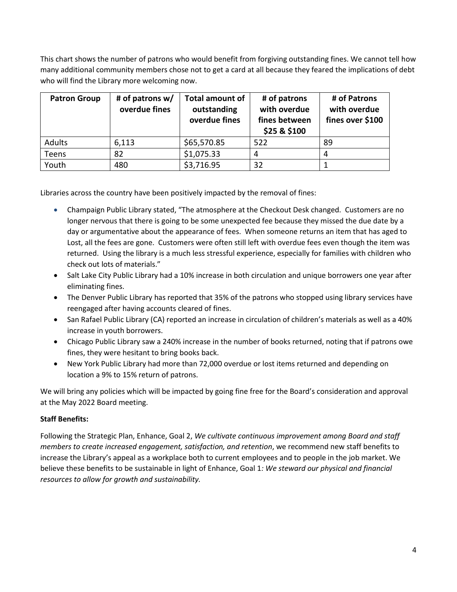This chart shows the number of patrons who would benefit from forgiving outstanding fines. We cannot tell how many additional community members chose not to get a card at all because they feared the implications of debt who will find the Library more welcoming now.

| <b>Patron Group</b> | # of patrons $w/$<br>overdue fines | <b>Total amount of</b><br>outstanding<br>overdue fines | # of patrons<br>with overdue<br>fines between<br>\$25 & \$100 | # of Patrons<br>with overdue<br>fines over \$100 |
|---------------------|------------------------------------|--------------------------------------------------------|---------------------------------------------------------------|--------------------------------------------------|
| Adults              | 6,113                              | \$65,570.85                                            | 522                                                           | 89                                               |
| Teens               | 82                                 | \$1,075.33                                             | 4                                                             |                                                  |
| Youth               | 480                                | \$3,716.95                                             | 32                                                            |                                                  |

Libraries across the country have been positively impacted by the removal of fines:

- Champaign Public Library stated, "The atmosphere at the Checkout Desk changed. Customers are no longer nervous that there is going to be some unexpected fee because they missed the due date by a day or argumentative about the appearance of fees. When someone returns an item that has aged to Lost, all the fees are gone. Customers were often still left with overdue fees even though the item was returned. Using the library is a much less stressful experience, especially for families with children who check out lots of materials."
- Salt Lake City Public Library had a 10% increase in both circulation and unique borrowers one year after eliminating fines.
- The Denver Public Library has reported that 35% of the patrons who stopped using library services have reengaged after having accounts cleared of fines.
- San Rafael Public Library (CA) reported an increase in circulation of children's materials as well as a 40% increase in youth borrowers.
- Chicago Public Library saw a 240% increase in the number of books returned, noting that if patrons owe fines, they were hesitant to bring books back.
- New York Public Library had more than 72,000 overdue or lost items returned and depending on location a 9% to 15% return of patrons.

We will bring any policies which will be impacted by going fine free for the Board's consideration and approval at the May 2022 Board meeting.

## **Staff Benefits:**

Following the Strategic Plan, Enhance, Goal 2, *We cultivate continuous improvement among Board and staff members to create increased engagement, satisfaction, and retention*, we recommend new staff benefits to increase the Library's appeal as a workplace both to current employees and to people in the job market. We believe these benefits to be sustainable in light of Enhance, Goal 1*: We steward our physical and financial resources to allow for growth and sustainability.*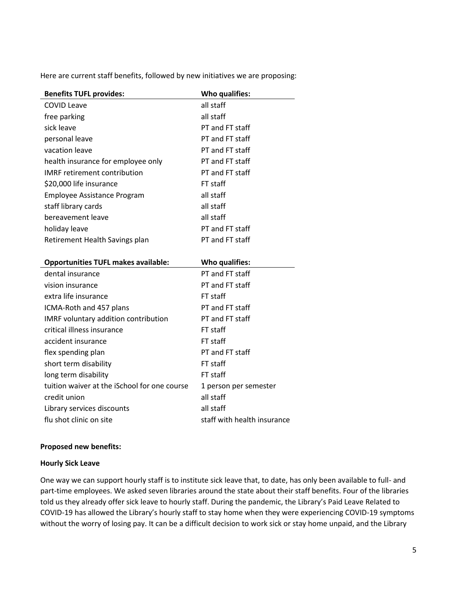Here are current staff benefits, followed by new initiatives we are proposing:

| <b>Benefits TUFL provides:</b>               | Who qualifies:        |
|----------------------------------------------|-----------------------|
| <b>COVID Leave</b>                           | all staff             |
| free parking                                 | all staff             |
| sick leave                                   | PT and FT staff       |
| personal leave                               | PT and FT staff       |
| vacation leave                               | PT and FT staff       |
| health insurance for employee only           | PT and FT staff       |
| <b>IMRF</b> retirement contribution          | PT and FT staff       |
| \$20,000 life insurance                      | FT staff              |
| <b>Employee Assistance Program</b>           | all staff             |
| staff library cards                          | all staff             |
| bereavement leave                            | all staff             |
| holiday leave                                | PT and FT staff       |
| Retirement Health Savings plan               | PT and FT staff       |
|                                              |                       |
|                                              |                       |
| <b>Opportunities TUFL makes available:</b>   | Who qualifies:        |
| dental insurance                             | PT and FT staff       |
| vision insurance                             | PT and FT staff       |
| extra life insurance                         | FT staff              |
| ICMA-Roth and 457 plans                      | PT and FT staff       |
| IMRF voluntary addition contribution         | PT and FT staff       |
| critical illness insurance                   | FT staff              |
| accident insurance                           | FT staff              |
| flex spending plan                           | PT and FT staff       |
| short term disability                        | FT staff              |
| long term disability                         | FT staff              |
| tuition waiver at the iSchool for one course | 1 person per semester |
| credit union                                 | all staff             |
| Library services discounts                   | all staff             |

#### **Proposed new benefits:**

#### **Hourly Sick Leave**

One way we can support hourly staff is to institute sick leave that, to date, has only been available to full- and part-time employees. We asked seven libraries around the state about their staff benefits. Four of the libraries told us they already offer sick leave to hourly staff. During the pandemic, the Library's Paid Leave Related to COVID-19 has allowed the Library's hourly staff to stay home when they were experiencing COVID-19 symptoms without the worry of losing pay. It can be a difficult decision to work sick or stay home unpaid, and the Library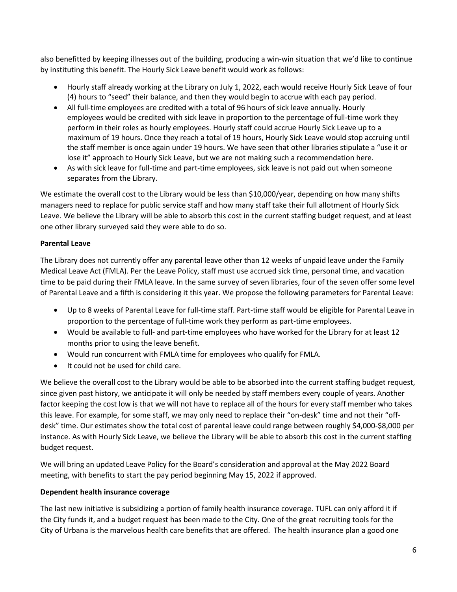also benefitted by keeping illnesses out of the building, producing a win-win situation that we'd like to continue by instituting this benefit. The Hourly Sick Leave benefit would work as follows:

- Hourly staff already working at the Library on July 1, 2022, each would receive Hourly Sick Leave of four (4) hours to "seed" their balance, and then they would begin to accrue with each pay period.
- All full-time employees are credited with a total of 96 hours of sick leave annually. Hourly employees would be credited with sick leave in proportion to the percentage of full-time work they perform in their roles as hourly employees. Hourly staff could accrue Hourly Sick Leave up to a maximum of 19 hours. Once they reach a total of 19 hours, Hourly Sick Leave would stop accruing until the staff member is once again under 19 hours. We have seen that other libraries stipulate a "use it or lose it" approach to Hourly Sick Leave, but we are not making such a recommendation here.
- As with sick leave for full-time and part-time employees, sick leave is not paid out when someone separates from the Library.

We estimate the overall cost to the Library would be less than \$10,000/year, depending on how many shifts managers need to replace for public service staff and how many staff take their full allotment of Hourly Sick Leave. We believe the Library will be able to absorb this cost in the current staffing budget request, and at least one other library surveyed said they were able to do so.

# **Parental Leave**

The Library does not currently offer any parental leave other than 12 weeks of unpaid leave under the Family Medical Leave Act (FMLA). Per the Leave Policy, staff must use accrued sick time, personal time, and vacation time to be paid during their FMLA leave. In the same survey of seven libraries, four of the seven offer some level of Parental Leave and a fifth is considering it this year. We propose the following parameters for Parental Leave:

- Up to 8 weeks of Parental Leave for full-time staff. Part-time staff would be eligible for Parental Leave in proportion to the percentage of full-time work they perform as part-time employees.
- Would be available to full- and part-time employees who have worked for the Library for at least 12 months prior to using the leave benefit.
- Would run concurrent with FMLA time for employees who qualify for FMLA.
- It could not be used for child care.

We believe the overall cost to the Library would be able to be absorbed into the current staffing budget request, since given past history, we anticipate it will only be needed by staff members every couple of years. Another factor keeping the cost low is that we will not have to replace all of the hours for every staff member who takes this leave. For example, for some staff, we may only need to replace their "on-desk" time and not their "offdesk" time. Our estimates show the total cost of parental leave could range between roughly \$4,000-\$8,000 per instance. As with Hourly Sick Leave, we believe the Library will be able to absorb this cost in the current staffing budget request.

We will bring an updated Leave Policy for the Board's consideration and approval at the May 2022 Board meeting, with benefits to start the pay period beginning May 15, 2022 if approved.

## **Dependent health insurance coverage**

The last new initiative is subsidizing a portion of family health insurance coverage. TUFL can only afford it if the City funds it, and a budget request has been made to the City. One of the great recruiting tools for the City of Urbana is the marvelous health care benefits that are offered. The health insurance plan a good one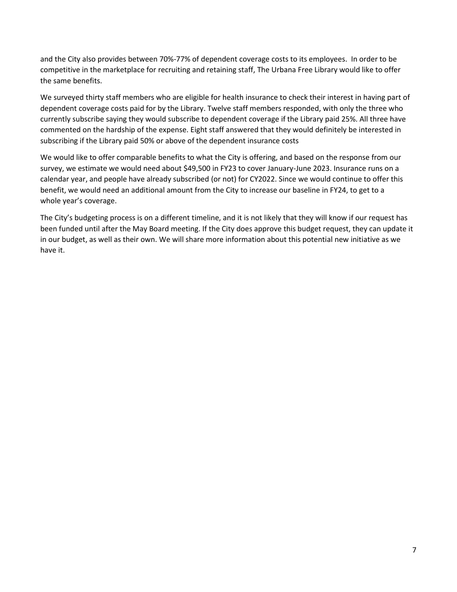and the City also provides between 70%-77% of dependent coverage costs to its employees. In order to be competitive in the marketplace for recruiting and retaining staff, The Urbana Free Library would like to offer the same benefits.

We surveyed thirty staff members who are eligible for health insurance to check their interest in having part of dependent coverage costs paid for by the Library. Twelve staff members responded, with only the three who currently subscribe saying they would subscribe to dependent coverage if the Library paid 25%. All three have commented on the hardship of the expense. Eight staff answered that they would definitely be interested in subscribing if the Library paid 50% or above of the dependent insurance costs

We would like to offer comparable benefits to what the City is offering, and based on the response from our survey, we estimate we would need about \$49,500 in FY23 to cover January-June 2023. Insurance runs on a calendar year, and people have already subscribed (or not) for CY2022. Since we would continue to offer this benefit, we would need an additional amount from the City to increase our baseline in FY24, to get to a whole year's coverage.

The City's budgeting process is on a different timeline, and it is not likely that they will know if our request has been funded until after the May Board meeting. If the City does approve this budget request, they can update it in our budget, as well as their own. We will share more information about this potential new initiative as we have it.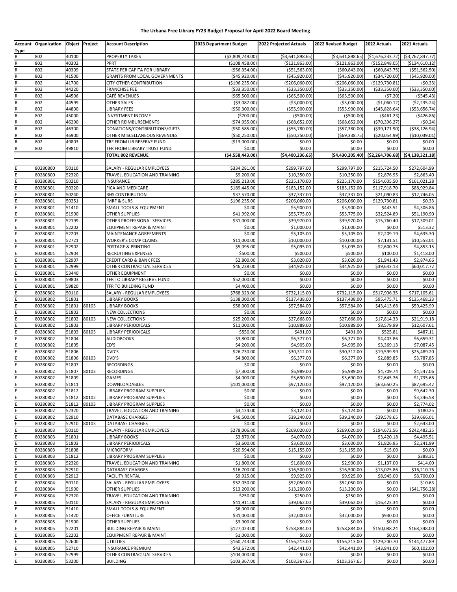#### **The Urbana Free Library FY23 Budget Proposal for April 2022 Board Meeting**

| Type      | Account Organization Object Project |                |       | <b>Account Description</b>                                     | 2023 Department Budget           | 2022 Projected Actuals            | 2022 Revised Budget                | 2022 Actuals                        | 2021 Actuals                            |
|-----------|-------------------------------------|----------------|-------|----------------------------------------------------------------|----------------------------------|-----------------------------------|------------------------------------|-------------------------------------|-----------------------------------------|
| R         | 802                                 | 40100          |       | <b>PROPERTY TAXES</b>                                          | ( \$3,809,749.00)                | ( \$3,641,898.65)                 | ( \$3,641,898.65)                  | ( \$1,676,233.72)                   | ( \$3,767,847.77)                       |
| ${\sf R}$ | 802                                 | 40302          |       | PPRT                                                           | ( \$108,458.00)                  | (\$121,863.00)                    | ( \$121, 863.00)                   | ( \$152, 848.05)                    | ( \$134, 610.12)                        |
| R         | 802                                 | 40309          |       | STATE PER CAPITA FOR LIBRARY                                   | ( \$56, 354.00)                  | ( \$51, 563.00)                   | (560, 843.00)                      | (560, 843.75)                       | ( \$51, 562.50)                         |
| R<br>R    | 802<br>802                          | 41500<br>41700 |       | GRANTS FROM LOCAL GOVERNMENTS<br>CITY OTHER CONTRIBUTION       | (\$45,920.00)<br>(\$196, 235.00) | (\$45,920.00)<br>( \$206,060.00)  | ( \$45, 920.00)<br>( \$206,060.00) | ( \$34, 720.00)<br>( \$129, 730.81) | ( \$45, 920.00)<br>(50.33)              |
| ${\sf R}$ | 802                                 | 44220          |       | <b>FRANCHISE FEE</b>                                           | ( \$33, 350.00)                  | ( \$33,350.00)                    | ( \$33, 350.00)                    | ( \$33, 350.00)                     | ( \$33, 350.00)                         |
| ${\sf R}$ | 802                                 | 44506          |       | CAFÉ REVENUES                                                  | ( \$65,500.00)                   | ( \$65,500.00)                    | ( \$65,500.00)                     | (57.20)                             | (5545.43)                               |
| ${\sf R}$ | 802                                 | 44599          |       | OTHER SALES                                                    | ( \$3,087.00)                    | ( \$3,000.00)                     | ( \$3,000.00)                      | (\$1,060.12)                        | (52, 235.24)                            |
| R         | 802                                 | 44800          |       | LIBRARY FEES                                                   | (\$50,300.00)                    | ( \$55,900.00)                    | ( \$55, 900.00)                    | ( \$45, 828.64)                     | ( \$53,656.74)                          |
| R         | 802                                 | 45000          |       | <b>INVESTMENT INCOME</b>                                       | (5700.00)                        | ( \$500.00)                       | ( \$500.00)                        | (5461.23)                           | ( \$426.86)                             |
| R<br>R    | 802<br>802                          | 46290<br>46300 |       | OTHER REIMBURSEMENTS<br>DONATIONS/CONTRIBUTIONS/GIFTS          | (574, 955.00)<br>(\$50,585.00)   | ( \$68, 652.00)<br>( \$55,780.00) | ( \$68, 652.00)<br>( \$57, 380.00) | (570, 396.27)<br>( \$39, 171.90)    | (50.24)<br>( \$38, 126.94)              |
| R         | 802                                 | 46900          |       | OTHER MISCELLANEOUS REVENUES                                   | ( \$50, 250.00)                  | ( \$50, 250.00)                   | ( \$69, 338.75)                    | (\$20,054.99)                       | ( \$10,039.01)                          |
|           | 802                                 | 49803          |       | TRF FROM LIB RESERVE FUND                                      | ( \$13,000.00)                   | \$0.00                            | \$0.00                             | \$0.00                              | \$0.00                                  |
|           | 802                                 | 49810          |       | TFR FROM LIBRARY TRUST FUND                                    | \$0.00                           | \$0.00                            | \$0.00                             | \$0.00                              | \$0.00                                  |
|           |                                     |                |       | <b>TOTAL 802 REVENUE</b>                                       | ( \$4,558,443.00)                | (54,400,236.65)                   | (54, 430, 205.40)                  |                                     | $(52, 264, 706.68)$ $(54, 138, 321.18)$ |
|           |                                     |                |       |                                                                |                                  |                                   |                                    |                                     |                                         |
| Ε         | 80280800<br>80280800                | 50110<br>52320 |       | SALARY - REGULAR EMPLOYEES<br>TRAVEL, EDUCATION AND TRAINING   | \$334,281.00<br>\$9,200.00       | \$299,797.00<br>\$10,350.00       | \$299,797.00<br>\$10,350.00        | \$215,724.50<br>\$2,876.95          | \$272,604.99<br>\$2,863.40              |
| E         | 80280801                            | 50210          |       | INSURANCE                                                      | \$285,213.00                     | \$225,170.00                      | \$225,170.00                       | \$154,605.50                        | \$161,021.28                            |
| Ė         | 80280801                            | 50220          |       | FICA AND MEDICARE                                              | \$189,445.00                     | \$183,152.00                      | \$183,152.00                       | \$117,918.70                        | \$88,929.84                             |
|           | 80280801                            | 50240          |       | RHS CONTRIBUTION                                               | \$37,570.00                      | \$37,337.00                       | \$37,337.00                        | \$21,090.83                         | \$12,746.05                             |
| E         | 80280801                            | 50251          |       | <b>IMRF &amp; SURS</b>                                         | \$196,235.00                     | \$206,060.00                      | \$206,060.00                       | \$129,730.81                        | \$0.33                                  |
|           | 80280801                            | 51410          |       | SMALL TOOLS & EQUIPMENT                                        | \$0.00                           | \$5,900.00                        | \$5,900.00                         | \$443.51                            | \$4,306.86                              |
| E         | 80280801                            | 51900          |       | <b>OTHER SUPPLIES</b>                                          | \$41,992.00                      | \$55,775.00                       | \$55,775.00                        | \$32,524.89                         | \$51,190.90                             |
|           | 80280801<br>80280801                | 52199<br>52202 |       | OTHER PROFESSIONAL SERVICES<br>EQUIPMENT REPAIR & MAINT        | \$31,000.00<br>\$0.00            | \$39,970.00<br>\$1,000.00         | \$39,970.00<br>\$1,000.00          | \$15,760.40<br>\$0.00               | \$17,309.01<br>\$513.32                 |
|           | 80280801                            | 52203          |       | MAINTENANCE AGREEMENTS                                         | \$0.00                           | \$5,105.00                        | \$5,105.00                         | \$2,209.19                          | \$4,635.30                              |
|           | 80280801                            | 52721          |       | WORKER'S COMP CLAIMS                                           | \$11,000.00                      | \$10,000.00                       | \$10,000.00                        | \$7,131.51                          | \$10,553.01                             |
|           | 80280801                            | 52902          |       | POSTAGE & PRINTING                                             | \$5,095.00                       | \$5,095.00                        | \$5,095.00                         | \$2,600.75                          | \$4,853.15                              |
|           | 80280801                            | 52904          |       | RECRUITING EXPENSES                                            | \$500.00                         | \$500.00                          | \$500.00                           | \$100.00                            | \$1,418.00                              |
| E         | 80280801                            | 52907          |       | CREDIT CARD & BANK FEES                                        | \$2,800.00                       | \$3,020.00                        | \$3,020.00                         | \$1,941.43                          | \$2,874.66                              |
| Ė<br>Ė    | 80280801                            | 52999          |       | OTHER CONTRACTUAL SERVICES                                     | \$46,228.00                      | \$44,925.00                       | \$44,925.00                        | \$39,643.13                         | \$60,017.72                             |
|           | 80280801<br>80280801                | 53440<br>59803 |       | OTHER EQUIPMENT<br>TFR TO LIBRARY RESERVE FUND                 | \$0.00<br>\$52,000.00            | \$0.00<br>\$0.00                  | \$0.00<br>\$0.00                   | \$0.00<br>\$0.00                    | \$0.00<br>\$0.00                        |
| Ε         | 80280801                            | 59820          |       | TFR TO BUILDING FUND                                           | \$4,400.00                       | \$0.00                            | \$0.00                             | \$0.00                              | \$0.00                                  |
|           | 80280802                            | 50110          |       | SALARY - REGULAR EMPLOYEES                                     | \$768,323.00                     | \$732,115.00                      | \$732,115.00                       | \$517,906.35                        | \$717,105.61                            |
|           | 80280802                            | 51801          |       | <b>LIBRARY BOOKS</b>                                           | \$138,000.00                     | \$137,438.00                      | \$137,438.00                       | \$95,475.71                         | \$135,468.23                            |
| E         | 80280802                            | 51801          | 80103 | <b>LIBRARY BOOKS</b>                                           | \$58,000.00                      | \$57,584.00                       | \$57,584.00                        | \$43,413.68                         | \$59,425.99                             |
|           | 80280802                            | 51802          |       | NEW COLLECTIONS                                                | \$0.00                           | \$0.00                            | \$0.00                             | \$0.00                              | \$0.00                                  |
|           | 80280802                            | 51802          | 80103 | <b>NEW COLLECTIONS</b>                                         | \$25,200.00                      | \$27,668.00                       | \$27,668.00                        | \$17,814.33                         | \$21,919.18                             |
|           | 80280802<br>80280802                | 51803<br>51803 | 80103 | LIBRARY PERIODICALS<br>LIBRARY PERIODICALS                     | \$11,000.00<br>\$550.00          | \$10,889.00<br>\$491.00           | \$10,889.00<br>\$491.00            | \$8,579.99<br>\$525.81              | \$12,607.61<br>\$487.11                 |
|           | 80280802                            | 51804          |       | <b>AUDIOBOOKS</b>                                              | \$3,800.00                       | \$6,377.00                        | \$6,377.00                         | \$4,403.86                          | \$6,659.31                              |
| E         | 80280802                            | 51805          |       | CD'S                                                           | \$4,200.00                       | \$4,905.00                        | \$4,905.00                         | \$3,369.13                          | \$7,087.45                              |
|           | 80280802                            | 51806          |       | DVD'S                                                          | \$26,730.00                      | \$30,312.00                       | \$30,312.00                        | \$19,599.99                         | \$25,489.20                             |
| E         | 80280802                            | 51806          | 80103 | DVD'S                                                          | \$4,800.00                       | \$6,377.00                        | \$6,377.00                         | \$2,889.85                          | \$3,787.85                              |
| E         | 80280802                            | 51807          |       | <b>RECORDINGS</b>                                              | \$0.00                           | \$0.00                            | \$0.00                             | \$0.00                              | \$0.00                                  |
| E         | 80280802                            | 51807          | 80103 | <b>RECORDINGS</b>                                              | \$7,300.00                       | \$6,989.00                        | \$6,989.00                         | \$4,709.74                          | \$4,547.06                              |
| E<br>E    | 80280802<br>80280802                | 51809<br>51811 |       | <b>GAMES</b><br>DOWNLOADABLES                                  | \$4,000.00<br>\$101,000.00       | \$5,690.00<br>\$97,120.00         | \$5,690.00<br>\$97,120.00          | \$2,645.76<br>\$63,650.25           | \$1,735.66<br>\$87,695.42               |
| E         | 80280802                            | 51812          |       | LIBRARY PROGRAM SUPPLIES                                       | \$0.00                           | \$0.00                            | \$0.00                             | \$0.00                              | \$9,642.30                              |
| E         | 80280802                            | 51812 80102    |       | LIBRARY PROGRAM SUPPLIES                                       | \$0.00                           | \$0.00                            | \$0.00                             | \$0.00                              | \$3,346.58                              |
| E         | 80280802                            | 51812          | 80103 | <b>LIBRARY PROGRAM SUPPLIES</b>                                | \$0.00                           | \$0.00                            | \$0.00                             | \$0.00                              | \$2,774.02                              |
| E         | 80280802                            | 52320          |       | TRAVEL, EDUCATION AND TRAINING                                 | \$3,124.00                       | \$3.124.00                        | \$3,124.00                         | \$0.00                              | \$180.25                                |
| E         | 80280802                            | 52910          |       | <b>DATABASE CHARGES</b>                                        | \$46,500.00                      | \$39,240.00                       | \$39,240.00                        | \$29,578.65                         | \$39,666.01                             |
| E<br>E    | 80280802<br>80280803                | 52910<br>50110 | 80103 | DATABASE CHARGES<br>SALARY - REGULAR EMPLOYEES                 | \$0.00<br>\$278,006.00           | \$0.00<br>\$269,020.00            | \$0.00<br>\$269,020.00             | \$0.00<br>\$194,672.56              | \$2,643.00<br>\$242,482.25              |
| E         | 80280803                            | 51801          |       | <b>LIBRARY BOOKS</b>                                           | \$3,870.00                       | \$4,070.00                        | \$4,070.00                         | \$3,420.18                          | \$4,495.51                              |
| E         | 80280803                            | 51803          |       | LIBRARY PERIODICALS                                            | \$3,600.00                       | \$3,600.00                        | \$3,600.00                         | \$1,826.95                          | \$2,241.99                              |
| Ε         | 80280803                            | 51808          |       | <b>MICROFORM</b>                                               | \$20,594.00                      | \$15,155.00                       | \$15,155.00                        | \$15.00                             | \$0.00                                  |
| E         | 80280803                            | 51812          |       | LIBRARY PROGRAM SUPPLIES                                       | \$0.00                           | \$0.00                            | \$0.00                             | \$0.00                              | \$388.31                                |
| Ε         | 80280803                            | 52320          |       | TRAVEL, EDUCATION AND TRAINING                                 | \$1,800.00                       | \$1,800.00                        | \$2,900.00                         | \$1,137.00                          | \$414.00                                |
| E         | 80280803                            | 52910          |       | DATABASE CHARGES                                               | \$16,700.00                      | \$16,500.00                       | \$16,500.00                        | \$13,025.86                         | \$16,210.76                             |
| E         | 80280803<br>80280804                | 52912<br>50110 |       | <b>FACILITY RENTAL</b><br>SALARY - REGULAR EMPLOYEES           | \$9,925.00<br>\$52,050.00        | \$9,925.00<br>\$52,050.00         | \$9,925.00<br>\$52,050.00          | \$8,945.00<br>\$0.00                | \$8,700.00<br>\$10.63                   |
| E         | 80280804                            | 51900          |       | <b>OTHER SUPPLIES</b>                                          | \$13,200.00                      | \$13,200.00                       | \$13,200.00                        | \$0.00                              | (541, 756.28)                           |
|           | 80280804                            | 52320          |       | TRAVEL, EDUCATION AND TRAINING                                 | \$250.00                         | \$250.00                          | \$250.00                           | \$0.00                              | \$0.00                                  |
| E         | 80280805                            | 50110          |       | SALARY - REGULAR EMPLOYEES                                     | \$41,911.00                      | \$39,062.00                       | \$39,062.00                        | \$16,423.34                         | \$0.00                                  |
| Ε         | 80280805                            | 51410          |       | SMALL TOOLS & EQUIPMENT                                        | \$6,000.00                       | \$0.00                            | \$0.00                             | \$0.00                              | \$0.00                                  |
| E         | 80280805                            | 51420          |       | OFFICE FURNITURE                                               | \$31,000.00                      | \$32,000.00                       | \$32,000.00                        | \$930.00                            | \$0.00                                  |
| E         | 80280805                            | 51900          |       | OTHER SUPPLIES                                                 | \$3,900.00                       | \$0.00                            | \$0.00                             | \$0.00                              | \$0.00                                  |
| Ε<br>Ε    | 80280805<br>80280805                | 52201<br>52202 |       | <b>BUILDING REPAIR &amp; MAINT</b><br>EQUIPMENT REPAIR & MAINT | \$127,023.00<br>\$1,000.00       | \$258,884.00<br>\$0.00            | \$258,884.00<br>\$0.00             | \$150,088.24<br>\$0.00              | \$168,348.00<br>\$0.00                  |
| E         | 80280805                            | 52600          |       | <b>UTILITIES</b>                                               | \$160,743.00                     | \$156,213.00                      | \$156,213.00                       | \$129,200.70                        | \$144,477.89                            |
| E         | 80280805                            | 52710          |       | <b>INSURANCE PREMIUM</b>                                       | \$43,672.00                      | \$42,441.00                       | \$42,441.00                        | \$43,841.00                         | \$60,102.00                             |
| E         | 80280805                            | 52999          |       | OTHER CONTRACTUAL SERVICES                                     | \$104,000.00                     | \$0.00                            | \$0.00                             | \$0.00                              | \$0.00                                  |
| E         | 80280805                            | 53200          |       | <b>BUILDING</b>                                                | \$103,367.00                     | \$103,367.65                      | \$103,367.65                       | \$0.00                              | \$0.00                                  |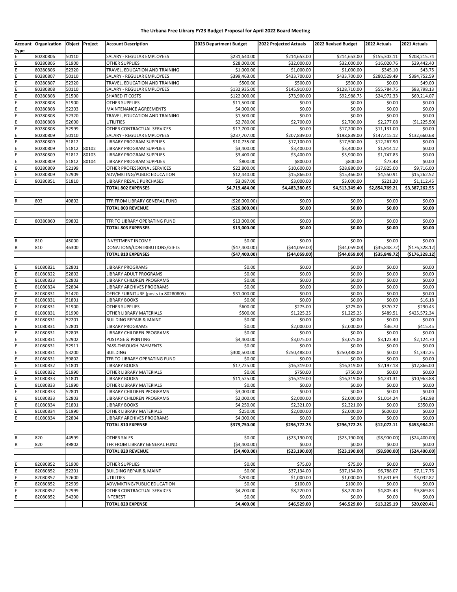#### **The Urbana Free Library FY23 Budget Proposal for April 2022 Board Meeting**

| <b>Type</b> | Account Organization Object Project |                |                | <b>Account Description</b>                            | 2023 Department Budget       | 2022 Projected Actuals      | 2022 Revised Budget         | 2022 Actuals               | 2021 Actuals               |
|-------------|-------------------------------------|----------------|----------------|-------------------------------------------------------|------------------------------|-----------------------------|-----------------------------|----------------------------|----------------------------|
| Ε           | 80280806                            | 50110          |                | SALARY - REGULAR EMPLOYEES                            | \$231,640.00                 | \$214,653.00                | \$214,653.00                | \$155,302.11               | \$208,215.74               |
| E           | 80280806                            | 51900          |                | <b>OTHER SUPPLIES</b>                                 | \$28,000.00                  | \$32,000.00                 | \$32,000.00                 | \$16,020.76                | \$29,442.40                |
| Ε           | 80280806                            | 52320          |                | TRAVEL, EDUCATION AND TRAINING                        | \$1,000.00                   | \$1,000.00                  | \$1,000.00                  | \$345.10                   | \$43.75                    |
| E           | 80280807                            | 50110          |                | SALARY - REGULAR EMPLOYEES                            | \$399,463.00                 | \$433,700.00                | \$433,700.00                | \$280,529.49               | \$394,752.59               |
| E           | 80280807                            | 52320          |                | TRAVEL, EDUCATION AND TRAINING                        | \$500.00                     | \$500.00                    | \$500.00                    | \$0.00                     | \$49.00                    |
| E           | 80280808<br>80280808                | 50110<br>51500 |                | SALARY - REGULAR EMPLOYEES<br>SHARED IT COSTS         | \$132,935.00<br>\$122,000.00 | \$145,910.00<br>\$73,900.00 | \$128,710.00<br>\$92,988.75 | \$55,784.75<br>\$24,972.33 | \$83,798.13<br>\$69,214.07 |
| E           | 80280808                            | 51900          |                | OTHER SUPPLIES                                        | \$11,500.00                  | \$0.00                      | \$0.00                      | \$0.00                     | \$0.00                     |
|             | 80280808                            | 52203          |                | MAINTENANCE AGREEMENTS                                | \$4,000.00                   | \$0.00                      | \$0.00                      | \$0.00                     | \$0.00                     |
|             | 80280808                            | 52320          |                | TRAVEL, EDUCATION AND TRAINING                        | \$1,500.00                   | \$0.00                      | \$0.00                      | \$0.00                     | \$0.00                     |
| Ė           | 80280808                            | 52600          |                | <b>UTILITIES</b>                                      | \$2,780.00                   | \$2,700.00                  | \$2,700.00                  | \$2,277.08                 | (\$1,225.50)               |
| E           | 80280808                            | 52999          |                | OTHER CONTRACTUAL SERVICES                            | \$17,700.00                  | \$0.00                      | \$17,200.00                 | \$11,131.00                | \$0.00                     |
|             | 80280809                            | 50110          |                | SALARY - REGULAR EMPLOYEES                            | \$237,707.00                 | \$207,839.00                | \$198,839.00                | \$147,415.12               | \$132,660.68               |
| Е           | 80280809                            | 51812          |                | LIBRARY PROGRAM SUPPLIES                              | \$10,735.00                  | \$17,100.00                 | \$17,500.00                 | \$12,267.90                | \$0.00                     |
| E           | 80280809                            | 51812          | 80102          | LIBRARY PROGRAM SUPPLIES                              | \$3,400.00                   | \$3,400.00                  | \$3,400.00                  | \$1,914.12                 | \$0.00                     |
| Ε<br>E      | 80280809<br>80280809                | 51812<br>51812 | 80103<br>80104 | LIBRARY PROGRAM SUPPLIES<br>LIBRARY PROGRAM SUPPLIES  | \$3,400.00<br>\$800.00       | \$3,400.00<br>\$800.00      | \$3,900.00<br>\$800.00      | \$1,747.83<br>\$73.48      | \$0.00<br>\$0.00           |
| E           | 80280809                            | 52199          |                | OTHER PROFESSIONAL SERVICES                           | \$22,800.00                  | \$10,600.00                 | \$28,880.00                 | \$17,825.00                | \$9,716.00                 |
| E           | 80280809                            | 52909          |                | ADV/MKTING/PUBLIC EDUCATION                           | \$12,440.00                  | \$15,866.00                 | \$15,466.00                 | \$4,550.91                 | \$15,262.52                |
| Ε           | 80280851                            | 51810          |                | LIBRARY RESALE PURCHASES                              | \$3,087.00                   | \$3,000.00                  | \$3,000.00                  | \$221.20                   | \$1,112.45                 |
|             |                                     |                |                | <b>TOTAL 802 EXPENSES</b>                             | \$4,719,484.00               | \$4,483,380.65              | \$4,513,349.40              | \$2,854,769.21             | \$3,387,262.55             |
|             |                                     |                |                |                                                       |                              |                             |                             |                            |                            |
|             | 803                                 | 49802          |                | TFR FROM LIBRARY GENERAL FUND                         | (\$26,000.00)                | \$0.00                      | \$0.00                      | \$0.00                     | \$0.00                     |
|             |                                     |                |                | <b>TOTAL 803 REVENUE</b>                              | (\$26,000.00)                | \$0.00                      | \$0.00                      | \$0.00                     | \$0.00                     |
|             |                                     |                |                |                                                       |                              |                             |                             |                            |                            |
|             | 80380860                            | 59802          |                | TFR TO LIBRARY OPERATING FUND                         | \$13,000.00                  | \$0.00                      | \$0.00                      | \$0.00                     | \$0.00                     |
|             |                                     |                |                | <b>TOTAL 803 EXPENSES</b>                             | \$13,000.00                  | \$0.00                      | \$0.00                      | \$0.00                     | \$0.00                     |
|             | 810                                 | 45000          |                | <b>INVESTMENT INCOME</b>                              | \$0.00                       | \$0.00                      | \$0.00                      | \$0.00                     | \$0.00                     |
|             | 810                                 | 46300          |                | DONATIONS/CONTRIBUTIONS/GIFTS                         | (\$47,400.00)                | ( \$44,059.00)              | (\$44,059.00)               | ( \$35, 848.72)            | ( \$176, 328.12)           |
|             |                                     |                |                | <b>TOTAL 810 EXPENSES</b>                             | (\$47,400.00)                | ( \$44,059.00)              | (\$44,059.00)               | ( \$35, 848.72)            | (5176, 328.12)             |
|             |                                     |                |                |                                                       |                              |                             |                             |                            |                            |
|             | 81080821                            | 52801          |                | LIBRARY PROGRAMS                                      | \$0.00                       | \$0.00                      | \$0.00                      | \$0.00                     | \$0.00                     |
| E           | 81080822                            | 52802          |                | LIBRARY ADULT PROGRAMS                                | \$0.00                       | \$0.00                      | \$0.00                      | \$0.00                     | \$0.00                     |
|             | 81080823                            | 52803          |                | LIBRARY CHILDREN PROGRAMS                             | \$0.00                       | \$0.00                      | \$0.00                      | \$0.00                     | \$0.00                     |
| Ė           | 81080824                            | 52804          |                | LIBRARY ARCHIVES PROGRAMS                             | \$0.00                       | \$0.00                      | \$0.00                      | \$0.00                     | \$0.00                     |
| E           | 81080831                            | 51420          |                | OFFICE FURNITURE (posts to 80280805)                  | \$31,000.00                  | \$0.00                      | \$0.00                      | \$0.00                     | \$0.00                     |
| E           | 81080831<br>81080831                | 51801<br>51900 |                | LIBRARY BOOKS<br>OTHER SUPPLIES                       | \$0.00<br>\$600.00           | \$0.00<br>\$275.00          | \$0.00<br>\$275.00          | \$0.00<br>\$370.77         | \$16.18<br>\$290.43        |
| E           | 81080831                            | 51990          |                | OTHER LIBRARY MATERIALS                               | \$500.00                     | \$1,225.25                  | \$1,225.25                  | \$489.51                   | \$425,572.34               |
|             | 81080831                            | 52201          |                | <b>BUILDING REPAIR &amp; MAINT</b>                    | \$0.00                       | \$0.00                      | \$0.00                      | \$0.00                     | \$0.00                     |
| E           | 81080831                            | 52801          |                | LIBRARY PROGRAMS                                      | \$0.00                       | \$2,000.00                  | \$2,000.00                  | \$36.70                    | \$415.45                   |
| E           | 81080831                            | 52803          |                | LIBRARY CHILDREN PROGRAMS                             | \$0.00                       | \$0.00                      | \$0.00                      | \$0.00                     | \$0.00                     |
|             | 81080831                            | 52902          |                | POSTAGE & PRINTING                                    | \$4,400.00                   | \$3,075.00                  | \$3,075.00                  | \$3,122.40                 | \$2,124.70                 |
| E           | 81080831                            | 52911          |                | PASS-THROUGH PAYMENTS                                 | \$0.00                       | \$0.00                      | \$0.00                      | \$0.00                     | \$0.00                     |
|             | 81080831                            | 53200          |                | <b>BUILDING</b>                                       | \$300,500.00                 | \$250,488.00                | \$250,488.00                | \$0.00                     | \$1,342.25                 |
| E<br>Ε      | 81080831<br>81080832                | 59802<br>51801 |                | TFR TO LIBRARY OPERATING FUND<br><b>LIBRARY BOOKS</b> | \$0.00<br>\$17,725.00        | \$0.00<br>\$16,319.00       | \$0.00<br>\$16,319.00       | \$0.00<br>\$2,197.18       | \$0.00<br>\$12,866.00      |
| E           | 81080832                            | 51990          |                | OTHER LIBRARY MATERIALS                               | \$0.00                       | \$750.00                    | \$750.00                    | \$0.00                     | \$0.00                     |
| E           | 81080833                            | 51801          |                | LIBRARY BOOKS                                         | \$11,525.00                  | \$16,319.00                 | \$16,319.00                 | \$4,241.31                 | \$10,963.88                |
| E           | 81080833                            | 51990          |                | OTHER LIBRARY MATERIALS                               | \$0.00                       | \$0.00                      | \$0.00                      | \$0.00                     | \$0.00                     |
| E           | 81080833                            | 52801          |                | LIBRARY CHILDREN PROGRAMS                             | \$3,000.00                   | \$0.00                      | \$0.00                      | \$0.00                     | \$0.00                     |
| E           | 81080833                            | 52803          |                | LIBRARY CHILDREN PROGRAMS                             | \$2,000.00                   | \$2,000.00                  | \$2,000.00                  | \$1,014.24                 | \$42.98                    |
| E           | 81080834                            | 51801          |                | <b>LIBRARY BOOKS</b>                                  | \$4,250.00                   | \$2,321.00                  | \$2,321.00                  | \$0.00                     | \$350.00                   |
| E           | 81080834                            | 51990          |                | OTHER LIBRARY MATERIALS                               | \$250.00                     | \$2,000.00                  | \$2,000.00                  | \$600.00                   | \$0.00                     |
| E           | 81080834                            | 52804          |                | LIBRARY ARCHIVES PROGRAMS                             | \$4,000.00                   | \$0.00                      | \$0.00                      | \$0.00                     | \$0.00                     |
|             |                                     |                |                | <b>TOTAL 810 EXPENSE</b>                              | \$379,750.00                 | \$296,772.25                | \$296,772.25                | \$12,072.11                | \$453,984.21               |
|             | 820                                 | 44599          |                | OTHER SALES                                           | \$0.00                       | ( \$23,190.00)              | ( \$23, 190.00)             | ( \$8,900.00)              | ( \$24,400.00)             |
| $\mathsf R$ | 820                                 | 49802          |                | TFR FROM LIBRARY GENERAL FUND                         | (\$4,400.00)                 | \$0.00                      | \$0.00                      | \$0.00                     | \$0.00                     |
|             |                                     |                |                | <b>TOTAL 820 REVENUE</b>                              | (54, 400.00)                 | (\$23,190.00)               | ( \$23,190.00)              | ( \$8,900.00)              | ( \$24,400.00)             |
|             |                                     |                |                |                                                       |                              |                             |                             |                            |                            |
|             | 82080852                            | 51900          |                | OTHER SUPPLIES                                        | \$0.00                       | \$75.00                     | \$75.00                     | \$0.00                     | \$0.00                     |
| E           | 82080852                            | 52201          |                | <b>BUILDING REPAIR &amp; MAINT</b>                    | \$0.00                       | \$37,134.00                 | \$37,134.00                 | \$6,788.07                 | \$7,117.76                 |
| E           | 82080852                            | 52600          |                | <b>UTILITIES</b>                                      | \$200.00                     | \$1,000.00                  | \$1,000.00                  | \$1,631.69                 | \$3,032.82                 |
| E           | 82080852                            | 52909          |                | ADV/MKTING/PUBLIC EDUCATION                           | \$0.00                       | \$100.00                    | \$100.00                    | \$0.00                     | \$0.00                     |
| E<br>Ε      | 82080852<br>82080852                | 52999<br>54200 |                | OTHER CONTRACTUAL SERVICES<br><b>INTEREST</b>         | \$4,200.00<br>\$0.00         | \$8,220.00<br>\$0.00        | \$8,220.00<br>\$0.00        | \$4,805.43<br>\$0.00       | \$9,869.83<br>\$0.00       |
|             |                                     |                |                | <b>TOTAL 820 EXPENSE</b>                              | \$4,400.00                   | \$46,529.00                 | \$46,529.00                 | \$13,225.19                | \$20,020.41                |
|             |                                     |                |                |                                                       |                              |                             |                             |                            |                            |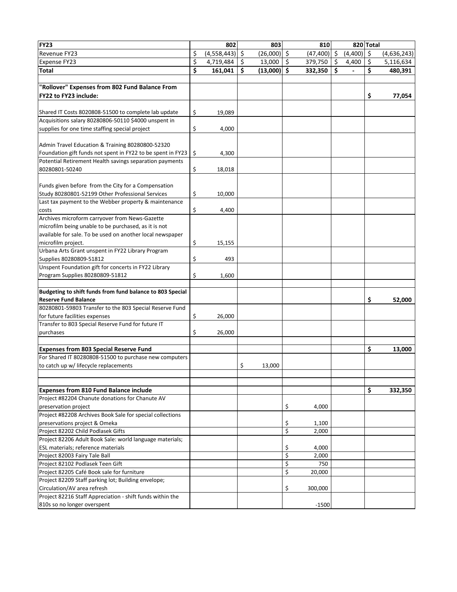| <b>FY23</b>                                                                     | 802               |     | 803           |         | 810       |         |         | 820 Total |             |
|---------------------------------------------------------------------------------|-------------------|-----|---------------|---------|-----------|---------|---------|-----------|-------------|
| Revenue FY23                                                                    | \$<br>(4,558,443) | \$. | $(26,000)$ \$ |         | (47, 400) | \$      | (4,400) | \$        | (4,636,243) |
| <b>Expense FY23</b>                                                             | \$<br>4,719,484   | \$  | 13,000        | $\zeta$ | 379,750   | $\zeta$ | 4,400   | \$        | 5,116,634   |
| <b>Total</b>                                                                    | \$<br>161,041     | \$  | (13,000)      | \$      | 332,350   | \$      |         | \$        | 480,391     |
|                                                                                 |                   |     |               |         |           |         |         |           |             |
| "Rollover" Expenses from 802 Fund Balance From                                  |                   |     |               |         |           |         |         |           |             |
| FY22 to FY23 include:                                                           |                   |     |               |         |           |         |         | \$        | 77,054      |
|                                                                                 |                   |     |               |         |           |         |         |           |             |
| Shared IT Costs 8020808-51500 to complete lab update                            | \$<br>19,089      |     |               |         |           |         |         |           |             |
| Acquisitions salary 80280806-50110 \$4000 unspent in                            |                   |     |               |         |           |         |         |           |             |
| supplies for one time staffing special project                                  | \$<br>4,000       |     |               |         |           |         |         |           |             |
|                                                                                 |                   |     |               |         |           |         |         |           |             |
| Admin Travel Education & Training 80280800-52320                                |                   |     |               |         |           |         |         |           |             |
| Foundation gift funds not spent in FY22 to be spent in FY23                     | \$<br>4,300       |     |               |         |           |         |         |           |             |
| Potential Retirement Health savings separation payments                         |                   |     |               |         |           |         |         |           |             |
| 80280801-50240                                                                  | \$                |     |               |         |           |         |         |           |             |
|                                                                                 | 18,018            |     |               |         |           |         |         |           |             |
| Funds given before from the City for a Compensation                             |                   |     |               |         |           |         |         |           |             |
| Study 80280801-52199 Other Professional Services                                | \$<br>10,000      |     |               |         |           |         |         |           |             |
|                                                                                 |                   |     |               |         |           |         |         |           |             |
| Last tax payment to the Webber property & maintenance                           | \$                |     |               |         |           |         |         |           |             |
| costs<br>Archives microform carryover from News-Gazette                         | 4,400             |     |               |         |           |         |         |           |             |
|                                                                                 |                   |     |               |         |           |         |         |           |             |
| microfilm being unable to be purchased, as it is not                            |                   |     |               |         |           |         |         |           |             |
| available for sale. To be used on another local newspaper<br>microfilm project. |                   |     |               |         |           |         |         |           |             |
|                                                                                 | \$<br>15,155      |     |               |         |           |         |         |           |             |
| Urbana Arts Grant unspent in FY22 Library Program                               |                   |     |               |         |           |         |         |           |             |
| Supplies 80280809-51812                                                         | \$<br>493         |     |               |         |           |         |         |           |             |
| Unspent Foundation gift for concerts in FY22 Library                            |                   |     |               |         |           |         |         |           |             |
| Program Supplies 80280809-51812                                                 | \$<br>1,600       |     |               |         |           |         |         |           |             |
|                                                                                 |                   |     |               |         |           |         |         |           |             |
| Budgeting to shift funds from fund balance to 803 Special                       |                   |     |               |         |           |         |         |           |             |
| <b>Reserve Fund Balance</b>                                                     |                   |     |               |         |           |         |         | \$        | 52,000      |
| 80280801-59803 Transfer to the 803 Special Reserve Fund                         |                   |     |               |         |           |         |         |           |             |
| for future facilities expenses                                                  | \$<br>26,000      |     |               |         |           |         |         |           |             |
| Transfer to 803 Special Reserve Fund for future IT                              |                   |     |               |         |           |         |         |           |             |
| purchases                                                                       | \$<br>26,000      |     |               |         |           |         |         |           |             |
|                                                                                 |                   |     |               |         |           |         |         |           |             |
| <b>Expenses from 803 Special Reserve Fund</b>                                   |                   |     |               |         |           |         |         | \$        | 13,000      |
| For Shared IT 80280808-51500 to purchase new computers                          |                   |     |               |         |           |         |         |           |             |
| to catch up w/ lifecycle replacements                                           |                   | \$  | 13,000        |         |           |         |         |           |             |
|                                                                                 |                   |     |               |         |           |         |         |           |             |
|                                                                                 |                   |     |               |         |           |         |         |           |             |
| <b>Expenses from 810 Fund Balance include</b>                                   |                   |     |               |         |           |         |         | \$        | 332,350     |
| Project #82204 Chanute donations for Chanute AV                                 |                   |     |               |         |           |         |         |           |             |
| preservation project                                                            |                   |     |               | \$      | 4,000     |         |         |           |             |
| Project #82208 Archives Book Sale for special collections                       |                   |     |               |         |           |         |         |           |             |
| preservations project & Omeka                                                   |                   |     |               | \$      | 1,100     |         |         |           |             |
| Project 82202 Child Podlasek Gifts                                              |                   |     |               | \$      | 2,000     |         |         |           |             |
| Project 82206 Adult Book Sale: world language materials;                        |                   |     |               |         |           |         |         |           |             |
| ESL materials; reference materials                                              |                   |     |               | \$      | 4,000     |         |         |           |             |
| Project 82003 Fairy Tale Ball                                                   |                   |     |               | \$      | 2,000     |         |         |           |             |
| Project 82102 Podlasek Teen Gift                                                |                   |     |               | \$      | 750       |         |         |           |             |
| Project 82205 Café Book sale for furniture                                      |                   |     |               | \$      | 20,000    |         |         |           |             |
| Project 82209 Staff parking lot; Building envelope;                             |                   |     |               |         |           |         |         |           |             |
| Circulation/AV area refresh                                                     |                   |     |               | \$      | 300,000   |         |         |           |             |
| Project 82216 Staff Appreciation - shift funds within the                       |                   |     |               |         |           |         |         |           |             |
| 810s so no longer overspent                                                     |                   |     |               |         | $-1500$   |         |         |           |             |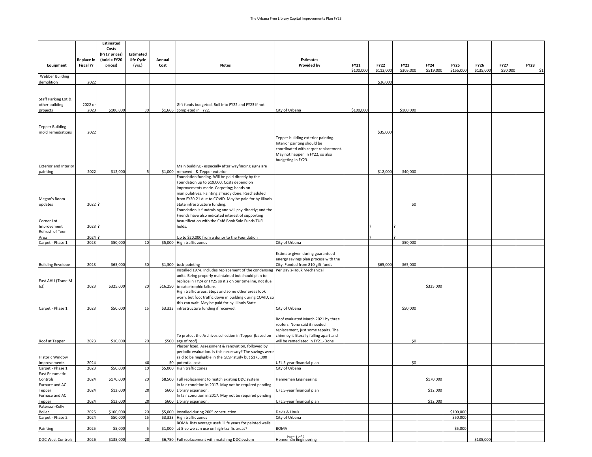|                                          |                                | Estimated<br>Costs        |                      |                |                                                                                                                 |                                                                     |             |             |             |             |             |             |             |             |
|------------------------------------------|--------------------------------|---------------------------|----------------------|----------------|-----------------------------------------------------------------------------------------------------------------|---------------------------------------------------------------------|-------------|-------------|-------------|-------------|-------------|-------------|-------------|-------------|
|                                          |                                | (FY17 prices)             | <b>Estimated</b>     |                |                                                                                                                 |                                                                     |             |             |             |             |             |             |             |             |
| Equipment                                | Replace in<br><b>Fiscal Yr</b> | $(bold = FY20$<br>prices) | Life Cycle<br>(yrs.) | Annual<br>Cost | <b>Notes</b>                                                                                                    | <b>Estimates</b><br><b>Provided by</b>                              | <b>FY21</b> | <b>FY22</b> | <b>FY23</b> | <b>FY24</b> | <b>FY25</b> | <b>FY26</b> | <b>FY27</b> | <b>FY28</b> |
|                                          |                                |                           |                      |                |                                                                                                                 |                                                                     | \$100,000   | \$112,000   | \$305,000   | \$519,000   | \$155,000   | \$135,000   | \$50,000    | \$1         |
| <b>Webber Building</b>                   |                                |                           |                      |                |                                                                                                                 |                                                                     |             |             |             |             |             |             |             |             |
| demolition                               | 2022                           |                           |                      |                |                                                                                                                 |                                                                     |             | \$36,000    |             |             |             |             |             |             |
|                                          |                                |                           |                      |                |                                                                                                                 |                                                                     |             |             |             |             |             |             |             |             |
| Staff Parking Lot &                      |                                |                           |                      |                |                                                                                                                 |                                                                     |             |             |             |             |             |             |             |             |
| other building<br>projects               | 2022 or<br>2023                | \$100,000                 | 30                   |                | Gift funds budgeted. Roll into FY22 and FY23 if not<br>\$1,666 completed in FY22.                               | City of Urbana                                                      | \$100,000   |             | \$100,000   |             |             |             |             |             |
|                                          |                                |                           |                      |                |                                                                                                                 |                                                                     |             |             |             |             |             |             |             |             |
| <b>Tepper Building</b>                   |                                |                           |                      |                |                                                                                                                 |                                                                     |             |             |             |             |             |             |             |             |
| mold remediations                        | 2022                           |                           |                      |                |                                                                                                                 |                                                                     |             | \$35,000    |             |             |             |             |             |             |
|                                          |                                |                           |                      |                |                                                                                                                 | Tepper building exterior painting.                                  |             |             |             |             |             |             |             |             |
|                                          |                                |                           |                      |                |                                                                                                                 | Interior painting should be<br>coordinated with carpet replacement. |             |             |             |             |             |             |             |             |
|                                          |                                |                           |                      |                |                                                                                                                 | May not happen in FY22, so also                                     |             |             |             |             |             |             |             |             |
|                                          |                                |                           |                      |                |                                                                                                                 | budgeting in FY23.                                                  |             |             |             |             |             |             |             |             |
| <b>Exterior and Interior</b><br>painting | 2022                           | \$12,000                  |                      |                | Main building - especially after wayfinding signs are<br>\$1,000 removed - & Tepper exterior                    |                                                                     |             | \$12,000    | \$40,000    |             |             |             |             |             |
|                                          |                                |                           |                      |                | Foundation funding. Will be paid directly by the                                                                |                                                                     |             |             |             |             |             |             |             |             |
|                                          |                                |                           |                      |                | Foundation up to \$19,000. Costs depend on                                                                      |                                                                     |             |             |             |             |             |             |             |             |
|                                          |                                |                           |                      |                | improvements made. Carpeting; hands on-<br>manipulatives. Painting already done. Rescheduled                    |                                                                     |             |             |             |             |             |             |             |             |
| Megan's Room                             |                                |                           |                      |                | from FY20-21 due to COVID. May be paid for by Illinois                                                          |                                                                     |             |             |             |             |             |             |             |             |
| updates                                  | 2022 ?                         |                           |                      |                | State infrastructure funding.<br>Foundation is fundraising and will pay directly; and the                       |                                                                     |             |             | \$0         |             |             |             |             |             |
|                                          |                                |                           |                      |                | Friends have also indicated interest of supporting                                                              |                                                                     |             |             |             |             |             |             |             |             |
| Corner Lot                               |                                |                           |                      |                | beautification with the Café Book Sale Funds TUFL                                                               |                                                                     |             |             |             |             |             |             |             |             |
| Improvement<br>Refresh of Teen           | 2023                           |                           |                      |                | holds.                                                                                                          |                                                                     |             |             |             |             |             |             |             |             |
| Area                                     | 2024                           |                           |                      |                | Up to \$20,000 from a donor to the Foundation                                                                   |                                                                     |             |             |             |             |             |             |             |             |
| Carpet - Phase 1                         | 2023                           | \$50,000                  | 10                   |                | \$5,000 High traffic zones                                                                                      | City of Urbana                                                      |             |             | \$50,000    |             |             |             |             |             |
|                                          |                                |                           |                      |                |                                                                                                                 | Estimate given during guaranteed                                    |             |             |             |             |             |             |             |             |
|                                          |                                |                           |                      |                |                                                                                                                 | energy savings plan process with the                                |             |             |             |             |             |             |             |             |
| <b>Building Envelope</b>                 | 2023                           | \$65,000                  | 50                   |                | \$1,300 tuck-pointing<br>Installed 1974. Includes replacement of the condensing Per Davis-Houk Mechanical       | City. Funded from 810 gift funds                                    |             | \$65,000    | \$65,000    |             |             |             |             |             |
|                                          |                                |                           |                      |                | units. Being properly maintained but should plan to                                                             |                                                                     |             |             |             |             |             |             |             |             |
| East AHU (Trane M-                       |                                |                           |                      |                | replace in FY24 or FY25 so it's on our timeline, not due                                                        |                                                                     |             |             |             |             |             |             |             |             |
| 63)                                      | 2023                           | \$325,000                 | 20                   |                | \$16,250 to catastrophic failure.<br>High traffic areas. Steps and some other areas look                        |                                                                     |             |             |             | \$325,000   |             |             |             |             |
|                                          |                                |                           |                      |                | worn, but foot traffic down in building during COVID, so                                                        |                                                                     |             |             |             |             |             |             |             |             |
| Carpet - Phase 1                         | 2023                           | \$50,000                  | 15                   | \$3,333        | this can wait. May be paid for by Illinois State<br>infrastructure funding if received.                         | City of Urbana                                                      |             |             | \$50,000    |             |             |             |             |             |
|                                          |                                |                           |                      |                |                                                                                                                 |                                                                     |             |             |             |             |             |             |             |             |
|                                          |                                |                           |                      |                |                                                                                                                 | Roof evaluated March 2021 by three                                  |             |             |             |             |             |             |             |             |
|                                          |                                |                           |                      |                |                                                                                                                 | roofers. None said it needed<br>replacement, just some repairs. The |             |             |             |             |             |             |             |             |
|                                          |                                |                           |                      |                | To protect the Archives collection in Tepper (based on                                                          | chimney is literally falling apart and                              |             |             |             |             |             |             |             |             |
| Roof at Tepper                           | 2023                           | \$10,000                  | 20                   | \$500          | age of roof)<br>Plaster fixed. Assessment & renovation, followed by                                             | will be remediated in FY21.-Done                                    |             |             | \$0         |             |             |             |             |             |
|                                          |                                |                           |                      |                | periodic evaluation. Is this necessary? The savings were                                                        |                                                                     |             |             |             |             |             |             |             |             |
| <b>Historic Window</b>                   |                                |                           |                      |                | said to be negligible in the GESP study but \$175,000                                                           |                                                                     |             |             |             |             |             |             |             |             |
| Improvements<br>Carpet - Phase 1         | 2024<br>2023                   | \$50,000                  | 40<br>10             | \$0<br>\$5,000 | potential cost.<br>High traffic zones                                                                           | UFL 5-year financial plan<br>City of Urbana                         |             |             | \$0         |             |             |             |             |             |
| <b>East Pneumatic</b>                    |                                |                           |                      |                |                                                                                                                 |                                                                     |             |             |             |             |             |             |             |             |
| Controls<br>Furnace and AC               | 2024                           | \$170,000                 | 20                   |                | \$8,500 Full replacement to match existing DDC system<br>In fair condition in 2017. May not be required pending | Henneman Engineering                                                |             |             |             | \$170,000   |             |             |             |             |
| Tepper                                   | 2024                           | \$12,000                  | 20                   | \$600          | Library expansion.                                                                                              | UFL 5-year financial plan                                           |             |             |             | \$12,000    |             |             |             |             |
| Furnace and AC                           |                                |                           |                      |                | In fair condition in 2017. May not be required pending                                                          |                                                                     |             |             |             |             |             |             |             |             |
| Tepper<br>Paterson-Kelly                 | 2024                           | \$12,000                  | 20                   |                | \$600 Library expansion.                                                                                        | UFL 5-year financial plan                                           |             |             |             | \$12,000    |             |             |             |             |
| Boiler                                   | 2025                           | \$100,000                 | 20                   |                | \$5,000 Installed during 2005 construction                                                                      | Davis & Houk                                                        |             |             |             |             | \$100,000   |             |             |             |
| Carpet - Phase 2                         | 2024                           | \$50,000                  | 15                   |                | \$3,333 High traffic zones<br>BOMA lists average useful life years for painted walls                            | City of Urbana                                                      |             |             |             |             | \$50,000    |             |             |             |
| Painting                                 | 2025                           | \$5,000                   |                      |                | \$1,000 at 5-so we can use on high-traffic areas?                                                               | <b>BOMA</b>                                                         |             |             |             |             | \$5,000     |             |             |             |
|                                          |                                |                           |                      |                |                                                                                                                 | Page 1 of 2<br>Henneman Engineering                                 |             |             |             |             |             |             |             |             |
| <b>DDC West Controls</b>                 | 2026                           | \$135,000                 | 20                   |                | \$6,750 Full replacement with matching DDC system                                                               |                                                                     |             |             |             |             |             | \$135,000   |             |             |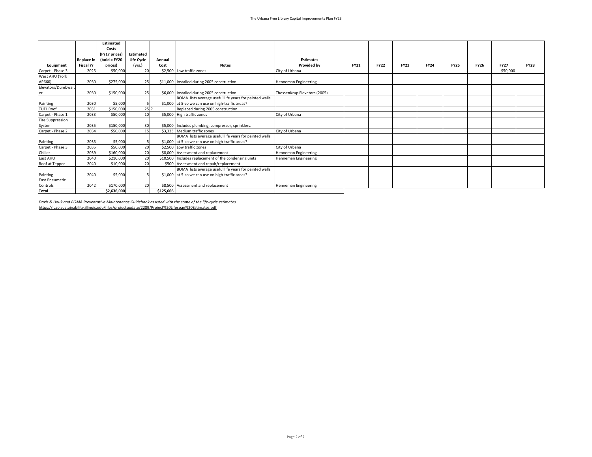|                       |                  | <b>Estimated</b> |                  |           |                                                        |                              |             |             |             |             |             |             |             |             |
|-----------------------|------------------|------------------|------------------|-----------|--------------------------------------------------------|------------------------------|-------------|-------------|-------------|-------------|-------------|-------------|-------------|-------------|
|                       |                  | Costs            |                  |           |                                                        |                              |             |             |             |             |             |             |             |             |
|                       |                  | (FY17 prices)    | <b>Estimated</b> |           |                                                        |                              |             |             |             |             |             |             |             |             |
|                       | Replace in       | (bold = $FY20$   | Life Cycle       | Annual    |                                                        | <b>Estimates</b>             |             |             |             |             |             |             |             |             |
| Equipment             | <b>Fiscal Yr</b> | prices)          | (yrs.)           | Cost      | <b>Notes</b>                                           | <b>Provided by</b>           | <b>FY21</b> | <b>FY22</b> | <b>FY23</b> | <b>FY24</b> | <b>FY25</b> | <b>FY26</b> | <b>FY27</b> | <b>FY28</b> |
| Carpet - Phase 3      | 2025             | \$50,000         | 20               |           | \$2.500 Low traffic zones                              | City of Urbana               |             |             |             |             |             |             | \$50,000    |             |
| West AHU (York        |                  |                  |                  |           |                                                        |                              |             |             |             |             |             |             |             |             |
| AP660)                | 2030             | \$275,000        | 25               |           | \$11,000 Installed during 2005 construction            | Henneman Engineering         |             |             |             |             |             |             |             |             |
| Elevators/Dumbwait    |                  |                  |                  |           |                                                        |                              |             |             |             |             |             |             |             |             |
| er                    | 2030             | \$150,000        | 25               |           | \$6,000 Installed during 2005 construction             | ThessenKrup Elevators (2005) |             |             |             |             |             |             |             |             |
|                       |                  |                  |                  |           | BOMA lists average useful life years for painted walls |                              |             |             |             |             |             |             |             |             |
| Painting              | 2030             | \$5,000          |                  |           | \$1,000 at 5-so we can use on high-traffic areas?      |                              |             |             |             |             |             |             |             |             |
| <b>TUFL Roof</b>      | 2031             | \$150,000        | $25$ ?           |           | Replaced during 2005 construction                      |                              |             |             |             |             |             |             |             |             |
| Carpet - Phase 1      | 2033             | \$50,000         | 10               |           | \$5,000 High traffic zones                             | City of Urbana               |             |             |             |             |             |             |             |             |
| Fire Suppression      |                  |                  |                  |           |                                                        |                              |             |             |             |             |             |             |             |             |
| System                | 2035             | \$150,000        | 30               |           | \$5,000 Includes plumbing, compressor, sprinklers.     |                              |             |             |             |             |             |             |             |             |
| Carpet - Phase 2      | 2034             | \$50,000         | 15               |           | \$3,333 Medium traffic zones                           | City of Urbana               |             |             |             |             |             |             |             |             |
|                       |                  |                  |                  |           | BOMA lists average useful life years for painted walls |                              |             |             |             |             |             |             |             |             |
| Painting              | 2035             | \$5,000          |                  |           | \$1,000 at 5-so we can use on high-traffic areas?      |                              |             |             |             |             |             |             |             |             |
| Carpet - Phase 3      | 2035             | \$50,000         | 20               |           | \$2,500 Low traffic zones                              | City of Urbana               |             |             |             |             |             |             |             |             |
| Chiller               | 2039             | \$160,000        | 20               |           | \$8,000 Assessment and replacement                     | <b>Henneman Engineering</b>  |             |             |             |             |             |             |             |             |
| East AHU              | 2040             | \$210,000        | 20               |           | \$10,500 Includes replacement of the condensing units  | Henneman Engineering         |             |             |             |             |             |             |             |             |
| Roof at Tepper        | 2040             | \$10,000         | 20               |           | \$500 Assessment and repair/replacement                |                              |             |             |             |             |             |             |             |             |
|                       |                  |                  |                  |           | BOMA lists average useful life years for painted walls |                              |             |             |             |             |             |             |             |             |
| Painting              | 2040             | \$5,000          |                  |           | \$1,000 at 5-so we can use on high-traffic areas?      |                              |             |             |             |             |             |             |             |             |
| <b>East Pneumatic</b> |                  |                  |                  |           |                                                        |                              |             |             |             |             |             |             |             |             |
| Controls              | 2042             | \$170,000        | 20               |           | \$8.500 Assessment and replacement                     | Henneman Engineering         |             |             |             |             |             |             |             |             |
| <b>Total</b>          |                  | \$2.636.000      |                  | \$125.666 |                                                        |                              |             |             |             |             |             |             |             |             |

*Davis & Houk and BOMA Preventative Maintenance Guidebook assisted with the some of the life-cycle estimates* https://icap.sustainability.illinois.edu/files/projectupdate/2289/Project%20Lifespan%20Estimates.pdf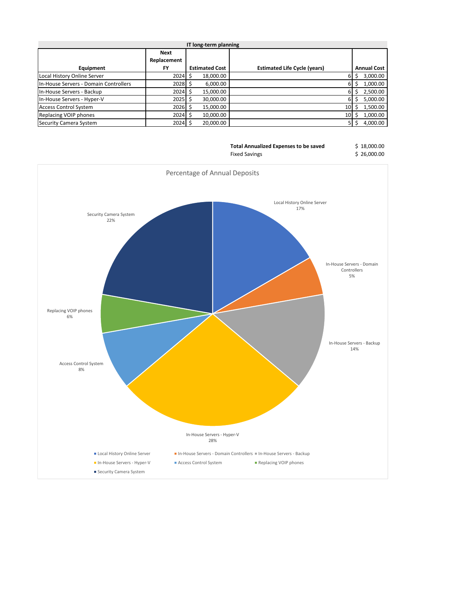|                                       |             | IT long-term planning |                                     |                    |
|---------------------------------------|-------------|-----------------------|-------------------------------------|--------------------|
|                                       | Next        |                       |                                     |                    |
|                                       | Replacement |                       |                                     |                    |
| Equipment                             | <b>FY</b>   | <b>Estimated Cost</b> | <b>Estimated Life Cycle (years)</b> | <b>Annual Cost</b> |
| Local History Online Server           | 2024        | 18,000.00<br>S        | 6                                   | 3,000.00           |
| In-House Servers - Domain Controllers | $2028$ \$   | 6,000.00              |                                     | 1,000.00           |
| In-House Servers - Backup             | $2024$ \$   | 15,000.00             |                                     | 2,500.00           |
| In-House Servers - Hyper-V            | $2025$ \$   | 30,000.00             | 6                                   | 5,000.00           |
| <b>Access Control System</b>          | $2026$ \$   | 15,000.00             | 10                                  | 1,500.00           |
| Replacing VOIP phones                 | 2024        | 10,000.00             | 10                                  | 1,000.00           |
| Security Camera System                | $2024$ \$   | 20,000.00             |                                     | 4,000.00           |

| <b>Total Annualized Expenses to be saved</b> | \$18,000.00 |
|----------------------------------------------|-------------|
| <b>Fixed Savings</b>                         | \$26,000.00 |